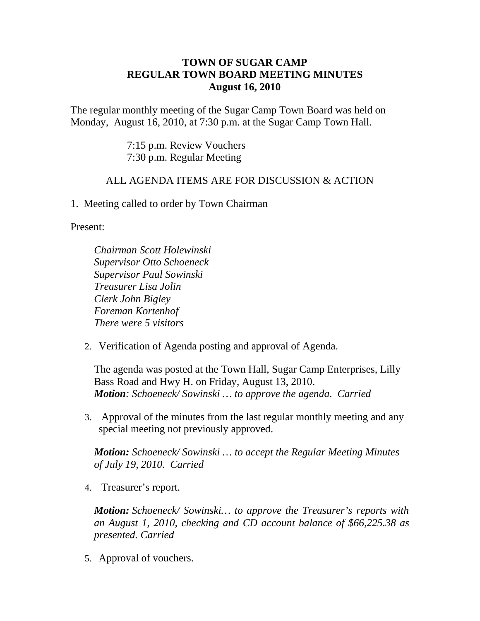## **TOWN OF SUGAR CAMP REGULAR TOWN BOARD MEETING MINUTES August 16, 2010**

The regular monthly meeting of the Sugar Camp Town Board was held on Monday, August 16, 2010, at 7:30 p.m. at the Sugar Camp Town Hall.

> 7:15 p.m. Review Vouchers 7:30 p.m. Regular Meeting

## ALL AGENDA ITEMS ARE FOR DISCUSSION & ACTION

1. Meeting called to order by Town Chairman

Present:

*Chairman Scott Holewinski Supervisor Otto Schoeneck Supervisor Paul Sowinski Treasurer Lisa Jolin Clerk John Bigley Foreman Kortenhof There were 5 visitors*

2. Verification of Agenda posting and approval of Agenda.

The agenda was posted at the Town Hall, Sugar Camp Enterprises, Lilly Bass Road and Hwy H. on Friday, August 13, 2010. *Motion: Schoeneck/ Sowinski … to approve the agenda. Carried*

3. Approval of the minutes from the last regular monthly meeting and any special meeting not previously approved.

*Motion: Schoeneck/ Sowinski … to accept the Regular Meeting Minutes of July 19, 2010. Carried*

4. Treasurer's report.

*Motion: Schoeneck/ Sowinski… to approve the Treasurer's reports with an August 1, 2010, checking and CD account balance of \$66,225.38 as presented. Carried*

5. Approval of vouchers.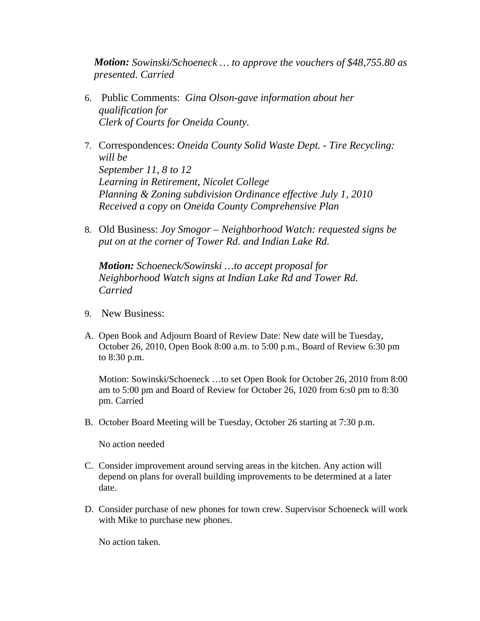*Motion: Sowinski/Schoeneck … to approve the vouchers of \$48,755.80 as presented. Carried*

- 6. Public Comments: *Gina Olson-gave information about her qualification for Clerk of Courts for Oneida County.*
- 7. Correspondences: *Oneida County Solid Waste Dept. Tire Recycling: will be September 11, 8 to 12 Learning in Retirement, Nicolet College Planning & Zoning subdivision Ordinance effective July 1, 2010 Received a copy on Oneida County Comprehensive Plan*
- 8. Old Business: *Joy Smogor – Neighborhood Watch: requested signs be put on at the corner of Tower Rd. and Indian Lake Rd.*

*Motion: Schoeneck/Sowinski …to accept proposal for Neighborhood Watch signs at Indian Lake Rd and Tower Rd. Carried*

- 9. New Business:
- A. Open Book and Adjourn Board of Review Date: New date will be Tuesday, October 26, 2010, Open Book 8:00 a.m. to 5:00 p.m., Board of Review 6:30 pm to 8:30 p.m.

Motion: Sowinski/Schoeneck …to set Open Book for October 26, 2010 from 8:00 am to 5:00 pm and Board of Review for October 26, 1020 from 6:s0 pm to 8:30 pm. Carried

B. October Board Meeting will be Tuesday, October 26 starting at 7:30 p.m.

No action needed

- C. Consider improvement around serving areas in the kitchen. Any action will depend on plans for overall building improvements to be determined at a later date.
- D. Consider purchase of new phones for town crew. Supervisor Schoeneck will work with Mike to purchase new phones.

No action taken.